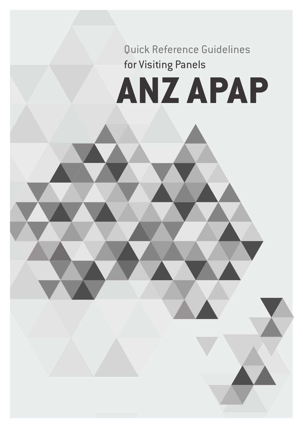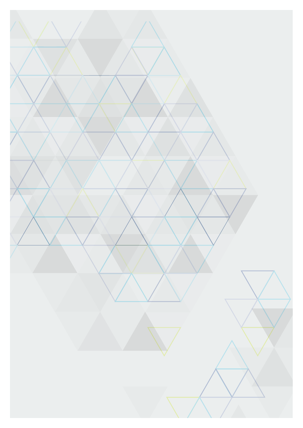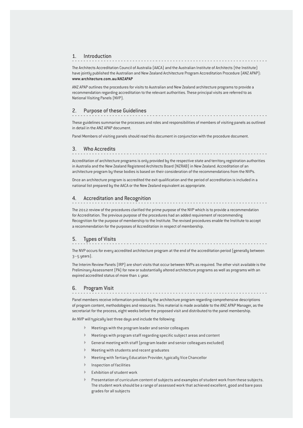# 1. Introduction

The Architects Accreditation Council of Australia (AACA) and the Australian Institute of Architects (the Institute) have jointly published the Australian and New Zealand Architecture Program Accreditation Procedure (ANZ APAP): **www.architecture.com.au/ANZAPAP**

ANZ APAP outlines the procedures for visits to Australian and New Zealand architecture programs to provide a recommendation regarding accreditation to the relevant authorities. These principal visits are referred to as National Visiting Panels (NVP).

## 2. Purpose of these Guidelines

These guidelines summarise the processes and roles and responsibilities of members of visiting panels as outlined in detail in the ANZ APAP document.

Panel Members of visiting panels should read this document in conjunction with the procedure document.

#### 3. Who Accredits

Accreditation of architecture programs is only provided by the respective state and territory registration authorities in Australia and the New Zealand Registered Architects Board (NZRAB) in New Zealand. Accreditation of an architecture program by these bodies is based on their consideration of the recommendations from the NVPs.

Once an architecture program is accredited the exit qualification and the period of accreditation is included in a national list prepared by the AACA or the New Zealand equivalent as appropriate.

# 4. Accreditation and Recognition

The 2012 review of the procedures clarified the prime purpose of the NVP which is to provide a recommendation for Accreditation. The previous purpose of the procedures had an added requirement of recommending Recognition for the purpose of membership to the Institute. The revised procedures enable the Institute to accept a recommendation for the purposes of Accreditation in respect of membership.

#### 5. Types of Visits

The NVP occurs for every accredited architecture program at the end of the accreditation period (generally between  $3-5$  years).

The Interim Review Panels (IRP) are short visits that occur between NVPs as required. The other visit available is the Preliminary Assessment (PA) for new or substantially altered architecture programs as well as programs with an expired accredited status of more than 1 year.

### 6. Program Visit

Panel members receive information provided by the architecture program regarding comprehensive descriptions of program content, methodologies and resources. This material is made available to the ANZ APAP Manager, as the secretariat for the process, eight weeks before the proposed visit and distributed to the panel membership.

An NVP will typically last three days and include the following:

- ` Meetings with the program leader and senior colleagues
- ` Meetings with program staff regarding specific subject areas and content
- ` General meeting with staff (program leader and senior colleagues excluded)
- ` Meeting with students and recent graduates
- ` Meeting with Tertiary Education Provider, typically Vice Chancellor
- Inspection of facilities
- Exhibition of student work
- Presentation of curriculum content of subjects and examples of student work from these subjects. The student work should be a range of assessed work that achieved excellent, good and bare pass grades for all subjects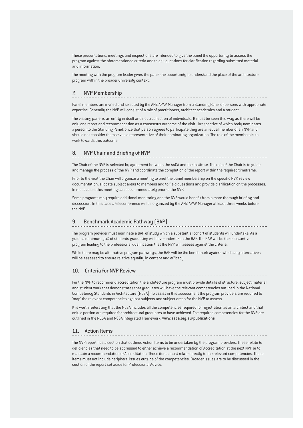These presentations, meetings and inspections are intended to give the panel the opportunity to assess the program against the aforementioned criteria and to ask questions for clarification regarding submitted material and information.

The meeting with the program leader gives the panel the opportunity to understand the place of the architecture program within the broader university context.

# 7. NVP Membership

Panel members are invited and selected by the ANZ APAP Manager from a Standing Panel of persons with appropriate expertise. Generally the NVP will consist of a mix of practitioners, architect academics and a student.

The visiting panel is an entity in itself and not a collection of individuals. It must be seen this way as there will be only one report and recommendation as a consensus outcome of the visit. Irrespective of which body nominates a person to the Standing Panel, once that person agrees to participate they are an equal member of an NVP and should not consider themselves a representative of their nominating organization. The role of the members is to work towards this outcome.

## 8. NVP Chair and Briefing of NVP

The Chair of the NVP is selected by agreement between the AACA and the Institute. The role of the Chair is to guide and manage the process of the NVP and coordinate the completion of the report within the required timeframe.

Prior to the visit the Chair will organize a meeting to brief the panel membership on the specific NVP, review documentation, allocate subject areas to members and to field questions and provide clarification on the processes. In most cases this meeting can occur immediately prior to the NVP.

Some programs may require additional monitoring and the NVP would benefit from a more thorough briefing and discussion. In this case a teleconference will be organized by the ANZ APAP Manager at least three weeks before the NVP.

## 9. Benchmark Academic Pathway (BAP)

The program provider must nominate a BAP of study which a substantial cohort of students will undertake. As a guide a minimum 30% of students graduating will have undertaken the BAP. The BAP will be the substantive program leading to the professional qualification that the NVP will assess against the criteria.

While there may be alternative program pathways, the BAP will be the benchmark against which any alternatives will be assessed to ensure relative equality in content and efficacy.

#### 10. Criteria for NVP Review

For the NVP to recommend accreditation the architecture program must provide details of structure, subject material and student work that demonstrates that graduates will have the relevant competencies outlined in the National Competency Standards in Architecture (NCSA). To assist in this assessment the program providers are required to 'map' the relevant competencies against subjects and subject areas for the NVP to assess.

It is worth reiterating that the NCSA includes all the competencies required for registration as an architect and that only a portion are required for architectural graduates to have achieved. The required competencies for the NVP are outlined in the NCSA and NCSA Integrated Framework: **www.aaca.org.au/publications**

#### 11. Action Items

The NVP report has a section that outlines Action Items to be undertaken by the program providers. These relate to deficiencies that need to be addressed to either achieve a recommendation of Accreditation at the next NVP or to maintain a recommendation of Accreditation. These items must relate directly to the relevant competencies. These items must not include peripheral issues outside of the competencies. Broader issues are to be discussed in the section of the report set aside for Professional Advice.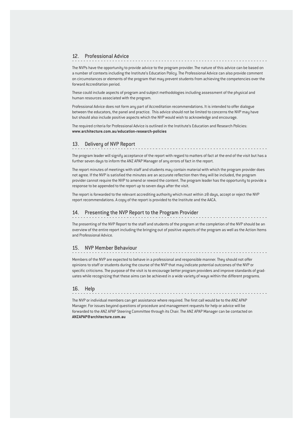## 12. Professional Advice

The NVPs have the opportunity to provide advice to the program provider. The nature of this advice can be based on a number of contexts including the Institute's Education Policy. The Professional Advice can also provide comment on circumstances or elements of the program that may prevent students from achieving the competencies over the forward Accreditation period.

These could include aspects of program and subject methodologies including assessment of the physical and human resources associated with the program.

Professional Advice does not form any part of Accreditation recommendations. It is intended to offer dialogue between the educators, the panel and practice. This advice should not be limited to concerns the NVP may have but should also include positive aspects which the NVP would wish to acknowledge and encourage.

The required criteria for Professional Advice is outlined in the Institute's Education and Research Policies: **www.architecture.com.au/education-research-policies**

# 13. Delivery of NVP Report

The program leader will signify acceptance of the report with regard to matters of fact at the end of the visit but has a further seven days to inform the ANZ APAP Manager of any errors of fact in the report.

The report minutes of meetings with staff and students may contain material with which the program provider does not agree. If the NVP is satisfied the minutes are an accurate reflection then they will be included, the program provider cannot require the NVP to amend or reword the content. The program leader has the opportunity to provide a response to be appended to the report up to seven days after the visit.

The report is forwarded to the relevant accrediting authority which must within 28 days, accept or reject the NVP report recommendations. A copy of the report is provided to the Institute and the AACA.

# 14. Presenting the NVP Report to the Program Provider

The presenting of the NVP Report to the staff and students of the program at the completion of the NVP should be an overview of the entire report including the bringing out of positive aspects of the program as well as the Action Items and Professional Advice.

### 15. NVP Member Behaviour

Members of the NVP are expected to behave in a professional and responsible manner. They should not offer opinions to staff or students during the course of the NVP that may indicate potential outcomes of the NVP or specific criticisms. The purpose of the visit is to encourage better program providers and improve standards of graduates while recognizing that these aims can be achieved in a wide variety of ways within the different programs.

#### 16. Help

The NVP or individual members can get assistance where required. The first call would be to the ANZ APAP Manager. For issues beyond questions of procedure and management requests for help or advice will be forwarded to the ANZ APAP Steering Committee through its Chair. The ANZ APAP Manager can be contacted on **ANZAPAP@architecture.com.au**